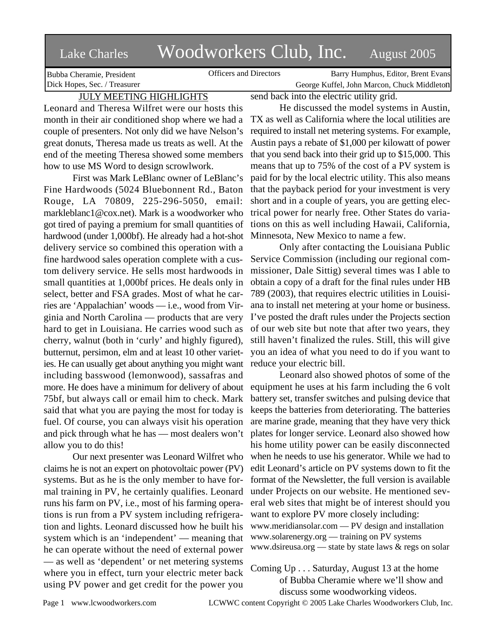# Lake Charles Woodworkers Club, Inc. August 2005

Bubba Cheramie, President Dick Hopes, Sec. / Treasurer

Officers and Directors Barry Humphus, Editor, Brent Evans George Kuffel, John Marcon, Chuck Middleton

## JULY MEETING HIGHLIGHTS

Leonard and Theresa Wilfret were our hosts this month in their air conditioned shop where we had a couple of presenters. Not only did we have Nelson's great donuts, Theresa made us treats as well. At the end of the meeting Theresa showed some members how to use MS Word to design scrowlwork.

First was Mark LeBlanc owner of LeBlanc's Fine Hardwoods (5024 Bluebonnent Rd., Baton Rouge, LA 70809, 225-296-5050, email: markleblanc1@cox.net). Mark is a woodworker who got tired of paying a premium for small quantities of hardwood (under 1,000bf). He already had a hot-shot delivery service so combined this operation with a fine hardwood sales operation complete with a custom delivery service. He sells most hardwoods in small quantities at 1,000bf prices. He deals only in select, better and FSA grades. Most of what he carries are 'Appalachian' woods — i.e., wood from Virginia and North Carolina — products that are very hard to get in Louisiana. He carries wood such as cherry, walnut (both in 'curly' and highly figured), butternut, persimon, elm and at least 10 other varieties. He can usually get about anything you might want including basswood (lemonwood), sassafras and more. He does have a minimum for delivery of about equipment he uses at his farm including the 6 volt 75bf, but always call or email him to check. Mark said that what you are paying the most for today is fuel. Of course, you can always visit his operation and pick through what he has — most dealers won't allow you to do this!

Our next presenter was Leonard Wilfret who claims he is not an expert on photovoltaic power (PV) systems. But as he is the only member to have formal training in PV, he certainly qualifies. Leonard runs his farm on PV, i.e., most of his farming operations is run from a PV system including refrigeration and lights. Leonard discussed how he built his system which is an 'independent' — meaning that he can operate without the need of external power — as well as 'dependent' or net metering systems where you in effect, turn your electric meter back using PV power and get credit for the power you

send back into the electric utility grid.

He discussed the model systems in Austin, TX as well as California where the local utilities are required to install net metering systems. For example, Austin pays a rebate of \$1,000 per kilowatt of power that you send back into their grid up to \$15,000. This means that up to 75% of the cost of a PV system is paid for by the local electric utility. This also means that the payback period for your investment is very short and in a couple of years, you are getting electrical power for nearly free. Other States do variations on this as well including Hawaii, California, Minnesota, New Mexico to name a few.

Only after contacting the Louisiana Public Service Commission (including our regional commissioner, Dale Sittig) several times was I able to obtain a copy of a draft for the final rules under HB 789 (2003), that requires electric utilities in Louisiana to install net metering at your home or business. I've posted the draft rules under the Projects section of our web site but note that after two years, they still haven't finalized the rules. Still, this will give you an idea of what you need to do if you want to reduce your electric bill.

Leonard also showed photos of some of the battery set, transfer switches and pulsing device that keeps the batteries from deteriorating. The batteries are marine grade, meaning that they have very thick plates for longer service. Leonard also showed how his home utility power can be easily disconnected when he needs to use his generator. While we had to edit Leonard's article on PV systems down to fit the format of the Newsletter, the full version is available under Projects on our website. He mentioned several web sites that might be of interest should you want to explore PV more closely including: www.meridiansolar.com — PV design and installation www.solarenergy.org — training on PV systems www.dsireusa.org — state by state laws & regs on solar

Coming Up . . . Saturday, August 13 at the home of Bubba Cheramie where we'll show and discuss some woodworking videos.

Page 1 www.lcwoodworkers.com LCWWC content Copyright © 2005 Lake Charles Woodworkers Club, Inc.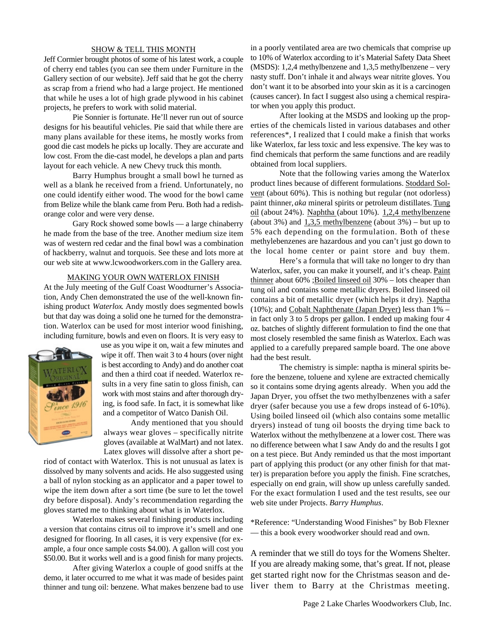#### SHOW & TELL THIS MONTH

Jeff Cormier brought photos of some of his latest work, a couple of cherry end tables (you can see them under Furniture in the Gallery section of our website). Jeff said that he got the cherry as scrap from a friend who had a large project. He mentioned that while he uses a lot of high grade plywood in his cabinet projects, he prefers to work with solid material.

Pie Sonnier is fortunate. He'll never run out of source designs for his beautiful vehicles. Pie said that while there are many plans available for these items, he mostly works from good die cast models he picks up locally. They are accurate and low cost. From the die-cast model, he develops a plan and parts layout for each vehicle. A new Chevy truck this month.

Barry Humphus brought a small bowl he turned as well as a blank he received from a friend. Unfortunately, no one could identify either wood. The wood for the bowl came from Belize while the blank came from Peru. Both had a redishorange color and were very dense.

Gary Rock showed some bowls — a large chinaberry he made from the base of the tree. Another medium size item was of western red cedar and the final bowl was a combination of hackberry, walnut and torquois. See these and lots more at our web site at www.lcwoodworkers.com in the Gallery area.

#### MAKING YOUR OWN WATERLOX FINISH

At the July meeting of the Gulf Coast Woodturner's Association, Andy Chen demonstrated the use of the well-known finishing product *Waterlox*. Andy mostly does segmented bowls but that day was doing a solid one he turned for the demonstration. Waterlox can be used for most interior wood finishing, including furniture, bowls and even on floors. It is very easy to



use as you wipe it on, wait a few minutes and wipe it off. Then wait 3 to 4 hours (over night is best according to Andy) and do another coat and then a third coat if needed. Waterlox results in a very fine satin to gloss finish, can work with most stains and after thorough drying, is food safe. In fact, it is somewhat like and a competitor of Watco Danish Oil.

Andy mentioned that you should always wear gloves – specifically nitrite gloves (available at WalMart) and not latex. Latex gloves will dissolve after a short pe-

riod of contact with Waterlox. This is not unusual as latex is dissolved by many solvents and acids. He also suggested using a ball of nylon stocking as an applicator and a paper towel to wipe the item down after a sort time (be sure to let the towel dry before disposal). Andy's recommendation regarding the gloves started me to thinking about what is in Waterlox.

Waterlox makes several finishing products including a version that contains citrus oil to improve it's smell and one designed for flooring. In all cases, it is very expensive (for example, a four once sample costs \$4.00). A gallon will cost you \$50.00. But it works well and is a good finish for many projects.

After giving Waterlox a couple of good sniffs at the demo, it later occurred to me what it was made of besides paint thinner and tung oil: benzene. What makes benzene bad to use in a poorly ventilated area are two chemicals that comprise up to 10% of Waterlox according to it's Material Safety Data Sheet (MSDS): 1,2,4 methylbenzene and 1,3,5 methylbenzene – very nasty stuff. Don't inhale it and always wear nitrite gloves. You don't want it to be absorbed into your skin as it is a carcinogen (causes cancer). In fact I suggest also using a chemical respirator when you apply this product.

After looking at the MSDS and looking up the properties of the chemicals listed in various databases and other references\*, I realized that I could make a finish that works like Waterlox, far less toxic and less expensive. The key was to find chemicals that perform the same functions and are readily obtained from local suppliers.

Note that the following varies among the Waterlox product lines because of different formulations. Stoddard Solvent (about 60%). This is nothing but regular (not odorless) paint thinner, *aka* mineral spirits or petroleum distillates. Tung oil (about 24%). Naphtha (about 10%). 1,2,4 methylbenzene (about 3%) and  $1,3,5$  methylbenzene (about 3%) – but up to 5% each depending on the formulation. Both of these methylebenzenes are hazardous and you can't just go down to the local home center or paint store and buy them.

Here's a formula that will take no longer to dry than Waterlox, safer, you can make it yourself, and it's cheap. Paint thinner about 60% ;Boiled linseed oil 30% – lots cheaper than tung oil and contains some metallic dryers. Boiled linseed oil contains a bit of metallic dryer (which helps it dry). Naptha (10%); and Cobalt Naphthenate (Japan Dryer) less than 1% – in fact only 3 to 5 drops per gallon. I ended up making four 4 oz. batches of slightly different formulation to find the one that most closely resembled the same finish as Waterlox. Each was applied to a carefully prepared sample board. The one above had the best result.

The chemistry is simple: naptha is mineral spirits before the benzene, toluene and xylene are extracted chemically so it contains some drying agents already. When you add the Japan Dryer, you offset the two methylbenzenes with a safer dryer (safer because you use a few drops instead of 6-10%). Using boiled linseed oil (which also contains some metallic dryers) instead of tung oil boosts the drying time back to Waterlox without the methylbenzene at a lower cost. There was no difference between what I saw Andy do and the results I got on a test piece. But Andy reminded us that the most important part of applying this product (or any other finish for that matter) is preparation before you apply the finish. Fine scratches, especially on end grain, will show up unless carefully sanded. For the exact formulation I used and the test results, see our web site under Projects. *Barry Humphus*.

\*Reference: "Understanding Wood Finishes" by Bob Flexner — this a book every woodworker should read and own.

A reminder that we still do toys for the Womens Shelter. If you are already making some, that's great. If not, please get started right now for the Christmas season and deliver them to Barry at the Christmas meeting.